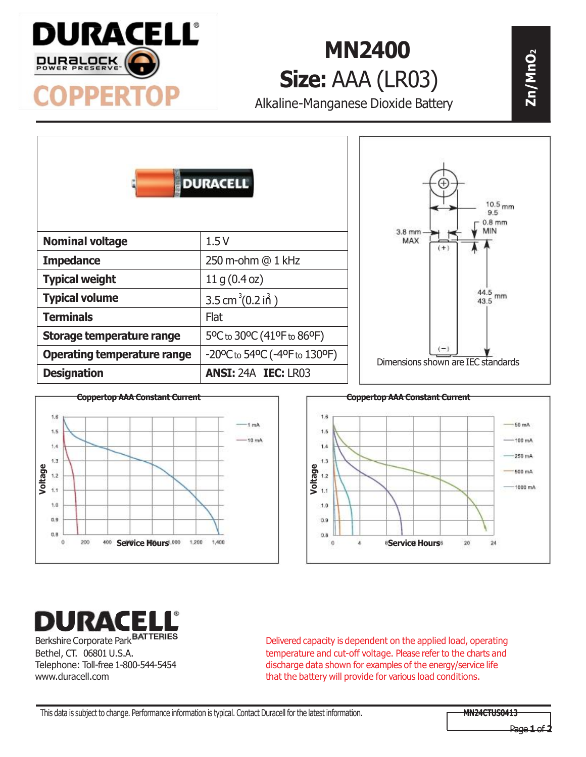

## **MN2400 <sup>2</sup> Size:** AAA (LR03)

Alkaline-Manganese Dioxide Battery

| <b>DURACELL</b>                    |                               | $10.5$ <sub>mm</sub><br>9.5<br>$0.8$ mm<br>MIN      |
|------------------------------------|-------------------------------|-----------------------------------------------------|
| <b>Nominal voltage</b>             | 1.5V                          | $3.8$ mm<br>MAX<br>$($ +                            |
| <b>Impedance</b>                   | 250 m-ohm @ 1 kHz             |                                                     |
| <b>Typical weight</b>              | 11 g (0.4 oz)                 |                                                     |
| <b>Typical volume</b>              | 3.5 cm <sup>3</sup> (0.2 in ) | 44.5<br>mm<br>43.5                                  |
| <b>Terminals</b>                   | <b>Flat</b>                   |                                                     |
| Storage temperature range          | 5°C to 30°C (41°F to 86°F)    |                                                     |
| <b>Operating temperature range</b> | -20°C to 54°C (-4°F to 130°F) | $\frac{1}{2}$<br>Dimensions shown are IEC standards |
| <b>Designation</b>                 | <b>ANSI: 24A IEC: LR03</b>    |                                                     |





## DURACELL'

Berkshire Corporate Park **BATTERIES** Bethel, CT. 06801 U.S.A. Telephone: Toll-free 1-800-544-5454 www.duracell.com

Delivered capacity is dependent on the applied load, operating temperature and cut-off voltage. Please refer to the charts and discharge data shown for examples of the energy/service life that the battery will provide for various load conditions.

**Zn/MnO**